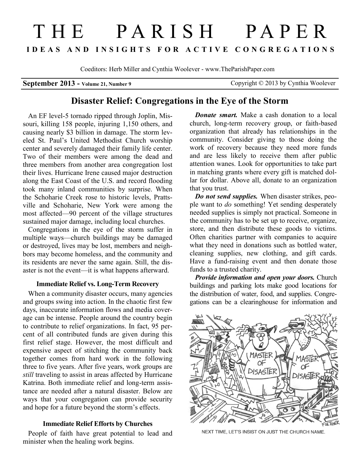# THE PARISH PAPER **I D E A S A N D I N S I G H T S F O R A C T I V E C O N G R E G A T I O N S**

Coeditors: Herb Miller and Cynthia Woolever - www.TheParishPaper.com

**September 2013 - Volume 21, Number 9 Copyright © 2013 by Cynthia Woolever** 

## **Disaster Relief: Congregations in the Eye of the Storm**

An EF level-5 tornado ripped through Joplin, Missouri, killing 158 people, injuring 1,150 others, and causing nearly \$3 billion in damage. The storm leveled St. Paul's United Methodist Church worship center and severely damaged their family life center. Two of their members were among the dead and three members from another area congregation lost their lives. Hurricane Irene caused major destruction along the East Coast of the U.S. and record flooding took many inland communities by surprise. When the Schoharie Creek rose to historic levels, Prattsville and Schoharie, New York were among the most affected—90 percent of the village structures sustained major damage, including local churches.

Congregations in the eye of the storm suffer in multiple ways—church buildings may be damaged or destroyed, lives may be lost, members and neighbors may become homeless, and the community and its residents are never the same again. Still, the disaster is not the event—it is what happens afterward.

### **Immediate Relief vs. Long-Term Recovery**

When a community disaster occurs, many agencies and groups swing into action. In the chaotic first few days, inaccurate information flows and media coverage can be intense. People around the country begin to contribute to relief organizations. In fact, 95 percent of all contributed funds are given during this first relief stage. However, the most difficult and expensive aspect of stitching the community back together comes from hard work in the following three to five years. After five years, work groups are *still* traveling to assist in areas affected by Hurricane Katrina. Both immediate relief and long-term assistance are needed after a natural disaster. Below are ways that your congregation can provide security and hope for a future beyond the storm's effects.

### **Immediate Relief Efforts by Churches**

People of faith have great potential to lead and minister when the healing work begins.

*Donate smart.* Make a cash donation to a local church, long-term recovery group, or faith-based organization that already has relationships in the community. Consider giving to those doing the work of recovery because they need more funds and are less likely to receive them after public attention wanes. Look for opportunities to take part in matching grants where every gift is matched dollar for dollar. Above all, donate to an organization that you trust.

*Do not send supplies.* When disaster strikes, people want to *do* something! Yet sending desperately needed supplies is simply not practical. Someone in the community has to be set up to receive, organize, store, and then distribute these goods to victims. Often charities partner with companies to acquire what they need in donations such as bottled water, cleaning supplies, new clothing, and gift cards. Have a fund-raising event and then donate those funds to a trusted charity.

*Provide information and open your doors.* Church buildings and parking lots make good locations for the distribution of water, food, and supplies. Congregations can be a clearinghouse for information and



NEXT TIME, LET'S INSIST ON JUST THE CHURCH NAME.